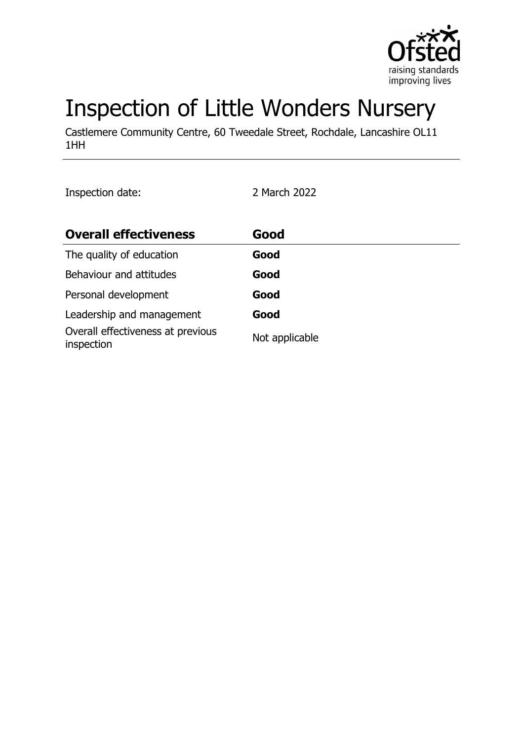

# Inspection of Little Wonders Nursery

Castlemere Community Centre, 60 Tweedale Street, Rochdale, Lancashire OL11 1HH

Inspection date: 2 March 2022

| <b>Overall effectiveness</b>                    | Good           |
|-------------------------------------------------|----------------|
| The quality of education                        | Good           |
| Behaviour and attitudes                         | Good           |
| Personal development                            | Good           |
| Leadership and management                       | Good           |
| Overall effectiveness at previous<br>inspection | Not applicable |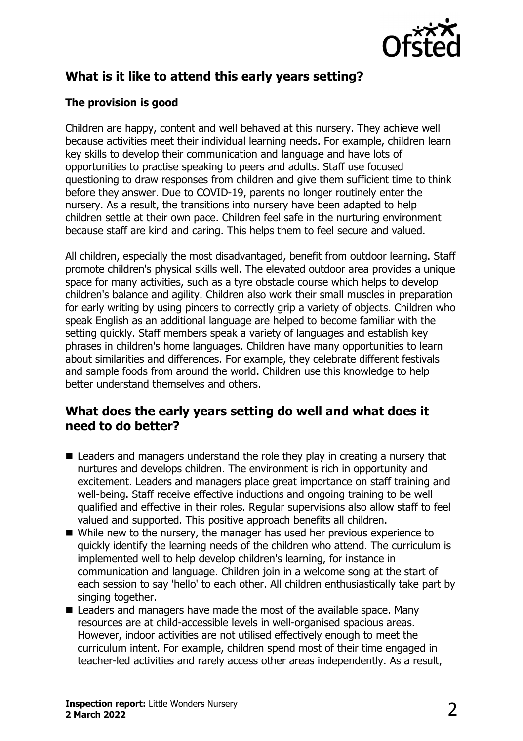

# **What is it like to attend this early years setting?**

## **The provision is good**

Children are happy, content and well behaved at this nursery. They achieve well because activities meet their individual learning needs. For example, children learn key skills to develop their communication and language and have lots of opportunities to practise speaking to peers and adults. Staff use focused questioning to draw responses from children and give them sufficient time to think before they answer. Due to COVID-19, parents no longer routinely enter the nursery. As a result, the transitions into nursery have been adapted to help children settle at their own pace. Children feel safe in the nurturing environment because staff are kind and caring. This helps them to feel secure and valued.

All children, especially the most disadvantaged, benefit from outdoor learning. Staff promote children's physical skills well. The elevated outdoor area provides a unique space for many activities, such as a tyre obstacle course which helps to develop children's balance and agility. Children also work their small muscles in preparation for early writing by using pincers to correctly grip a variety of objects. Children who speak English as an additional language are helped to become familiar with the setting quickly. Staff members speak a variety of languages and establish key phrases in children's home languages. Children have many opportunities to learn about similarities and differences. For example, they celebrate different festivals and sample foods from around the world. Children use this knowledge to help better understand themselves and others.

## **What does the early years setting do well and what does it need to do better?**

- $\blacksquare$  Leaders and managers understand the role they play in creating a nursery that nurtures and develops children. The environment is rich in opportunity and excitement. Leaders and managers place great importance on staff training and well-being. Staff receive effective inductions and ongoing training to be well qualified and effective in their roles. Regular supervisions also allow staff to feel valued and supported. This positive approach benefits all children.
- While new to the nursery, the manager has used her previous experience to quickly identify the learning needs of the children who attend. The curriculum is implemented well to help develop children's learning, for instance in communication and language. Children join in a welcome song at the start of each session to say 'hello' to each other. All children enthusiastically take part by singing together.
- $\blacksquare$  Leaders and managers have made the most of the available space. Many resources are at child-accessible levels in well-organised spacious areas. However, indoor activities are not utilised effectively enough to meet the curriculum intent. For example, children spend most of their time engaged in teacher-led activities and rarely access other areas independently. As a result,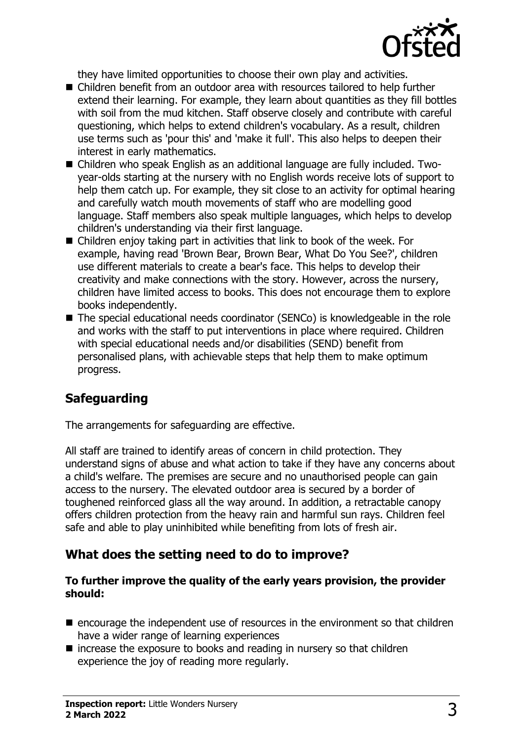

they have limited opportunities to choose their own play and activities.

- Children benefit from an outdoor area with resources tailored to help further extend their learning. For example, they learn about quantities as they fill bottles with soil from the mud kitchen. Staff observe closely and contribute with careful questioning, which helps to extend children's vocabulary. As a result, children use terms such as 'pour this' and 'make it full'. This also helps to deepen their interest in early mathematics.
- Children who speak English as an additional language are fully included. Twoyear-olds starting at the nursery with no English words receive lots of support to help them catch up. For example, they sit close to an activity for optimal hearing and carefully watch mouth movements of staff who are modelling good language. Staff members also speak multiple languages, which helps to develop children's understanding via their first language.
- $\blacksquare$  Children enjoy taking part in activities that link to book of the week. For example, having read 'Brown Bear, Brown Bear, What Do You See?', children use different materials to create a bear's face. This helps to develop their creativity and make connections with the story. However, across the nursery, children have limited access to books. This does not encourage them to explore books independently.
- $\blacksquare$  The special educational needs coordinator (SENCo) is knowledgeable in the role and works with the staff to put interventions in place where required. Children with special educational needs and/or disabilities (SEND) benefit from personalised plans, with achievable steps that help them to make optimum progress.

# **Safeguarding**

The arrangements for safeguarding are effective.

All staff are trained to identify areas of concern in child protection. They understand signs of abuse and what action to take if they have any concerns about a child's welfare. The premises are secure and no unauthorised people can gain access to the nursery. The elevated outdoor area is secured by a border of toughened reinforced glass all the way around. In addition, a retractable canopy offers children protection from the heavy rain and harmful sun rays. Children feel safe and able to play uninhibited while benefiting from lots of fresh air.

# **What does the setting need to do to improve?**

#### **To further improve the quality of the early years provision, the provider should:**

- $\blacksquare$  encourage the independent use of resources in the environment so that children have a wider range of learning experiences
- $\blacksquare$  increase the exposure to books and reading in nursery so that children experience the joy of reading more regularly.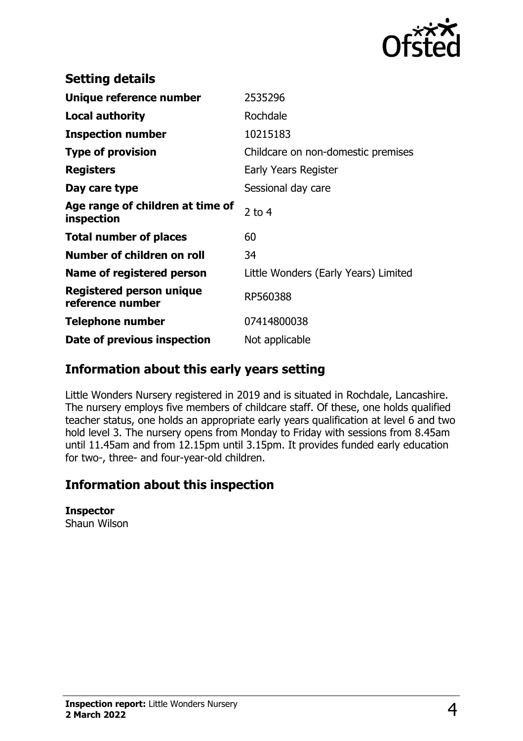

| <b>Setting details</b>                         |                                      |
|------------------------------------------------|--------------------------------------|
| Unique reference number                        | 2535296                              |
| Local authority                                | Rochdale                             |
| <b>Inspection number</b>                       | 10215183                             |
| <b>Type of provision</b>                       | Childcare on non-domestic premises   |
| <b>Registers</b>                               | Early Years Register                 |
| Day care type                                  | Sessional day care                   |
| Age range of children at time of<br>inspection | $2$ to 4                             |
| <b>Total number of places</b>                  | 60                                   |
| Number of children on roll                     | 34                                   |
| Name of registered person                      | Little Wonders (Early Years) Limited |
| Registered person unique<br>reference number   | RP560388                             |
| <b>Telephone number</b>                        | 07414800038                          |
|                                                |                                      |

# **Information about this early years setting**

Little Wonders Nursery registered in 2019 and is situated in Rochdale, Lancashire. The nursery employs five members of childcare staff. Of these, one holds qualified teacher status, one holds an appropriate early years qualification at level 6 and two hold level 3. The nursery opens from Monday to Friday with sessions from 8.45am until 11.45am and from 12.15pm until 3.15pm. It provides funded early education for two-, three- and four-year-old children.

# **Information about this inspection**

#### **Inspector**

Shaun Wilson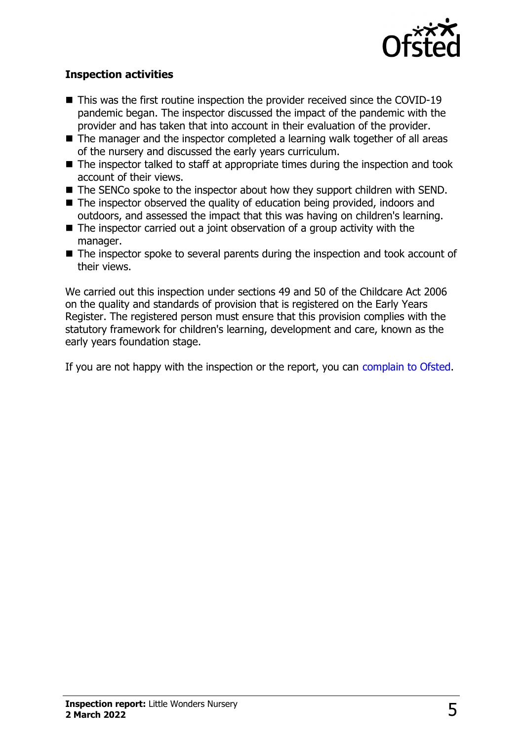

### **Inspection activities**

- $\blacksquare$  This was the first routine inspection the provider received since the COVID-19 pandemic began. The inspector discussed the impact of the pandemic with the provider and has taken that into account in their evaluation of the provider.
- $\blacksquare$  The manager and the inspector completed a learning walk together of all areas of the nursery and discussed the early years curriculum.
- $\blacksquare$  The inspector talked to staff at appropriate times during the inspection and took account of their views.
- $\blacksquare$  The SENCo spoke to the inspector about how they support children with SEND.
- $\blacksquare$  The inspector observed the quality of education being provided, indoors and outdoors, and assessed the impact that this was having on children's learning.
- $\blacksquare$  The inspector carried out a joint observation of a group activity with the manager.
- $\blacksquare$  The inspector spoke to several parents during the inspection and took account of their views.

We carried out this inspection under sections 49 and 50 of the Childcare Act 2006 on the quality and standards of provision that is registered on the Early Years Register. The registered person must ensure that this provision complies with the statutory framework for children's learning, development and care, known as the early years foundation stage.

If you are not happy with the inspection or the report, you can [complain to Ofsted](http://www.gov.uk/complain-ofsted-report).